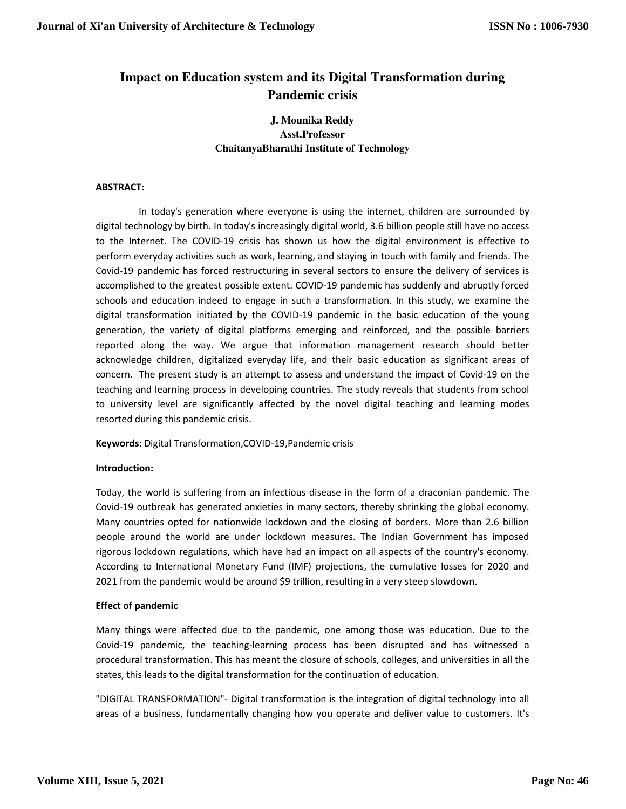# **Impact on Education system and its Digital Transformation during Pandemic crisis**

## **J. Mounika Reddy Asst.Professor ChaitanyaBharathi Institute of Technology**

## **ABSTRACT:**

 In today's generation where everyone is using the internet, children are surrounded by digital technology by birth. In today's increasingly digital world, 3.6 billion people still have no access to the Internet. The COVID-19 crisis has shown us how the digital environment is effective to perform everyday activities such as work, learning, and staying in touch with family and friends. The Covid-19 pandemic has forced restructuring in several sectors to ensure the delivery of services is accomplished to the greatest possible extent. COVID-19 pandemic has suddenly and abruptly forced schools and education indeed to engage in such a transformation. In this study, we examine the digital transformation initiated by the COVID-19 pandemic in the basic education of the young generation, the variety of digital platforms emerging and reinforced, and the possible barriers reported along the way. We argue that information management research should better acknowledge children, digitalized everyday life, and their basic education as significant areas of concern. The present study is an attempt to assess and understand the impact of Covid-19 on the teaching and learning process in developing countries. The study reveals that students from school to university level are significantly affected by the novel digital teaching and learning modes resorted during this pandemic crisis.

**Keywords:** Digital Transformation,COVID-19,Pandemic crisis

### **Introduction:**

Today, the world is suffering from an infectious disease in the form of a draconian pandemic. The Covid-19 outbreak has generated anxieties in many sectors, thereby shrinking the global economy. Many countries opted for nationwide lockdown and the closing of borders. More than 2.6 billion people around the world are under lockdown measures. The Indian Government has imposed rigorous lockdown regulations, which have had an impact on all aspects of the country's economy. According to International Monetary Fund (IMF) projections, the cumulative losses for 2020 and 2021 from the pandemic would be around \$9 trillion, resulting in a very steep slowdown.

### **Effect of pandemic**

Many things were affected due to the pandemic, one among those was education. Due to the Covid-19 pandemic, the teaching-learning process has been disrupted and has witnessed a procedural transformation. This has meant the closure of schools, colleges, and universities in all the states, this leads to the digital transformation for the continuation of education.

"DIGITAL TRANSFORMATION"- Digital transformation is the integration of digital technology into all areas of a business, fundamentally changing how you operate and deliver value to customers. It's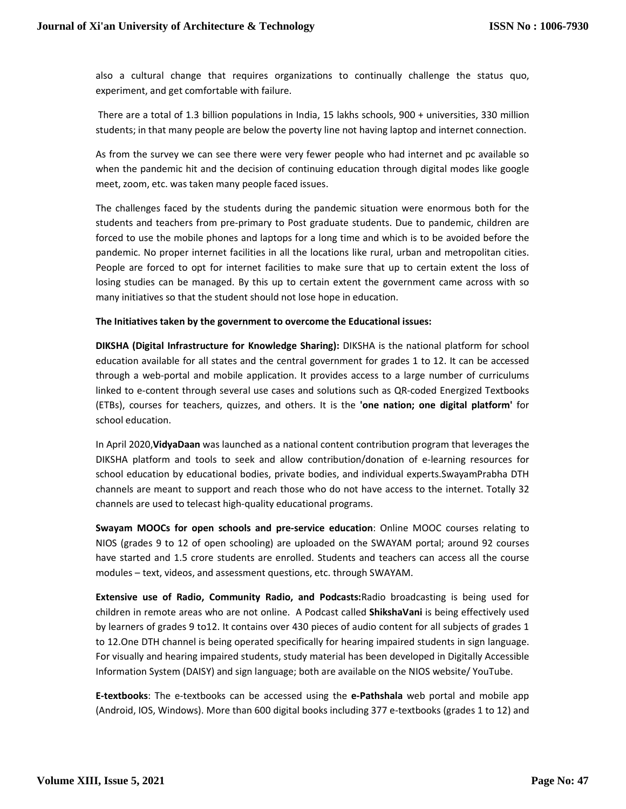also a cultural change that requires organizations to continually challenge the status quo, experiment, and get comfortable with failure.

 There are a total of 1.3 billion populations in India, 15 lakhs schools, 900 + universities, 330 million students; in that many people are below the poverty line not having laptop and internet connection.

As from the survey we can see there were very fewer people who had internet and pc available so when the pandemic hit and the decision of continuing education through digital modes like google meet, zoom, etc. was taken many people faced issues.

The challenges faced by the students during the pandemic situation were enormous both for the students and teachers from pre-primary to Post graduate students. Due to pandemic, children are forced to use the mobile phones and laptops for a long time and which is to be avoided before the pandemic. No proper internet facilities in all the locations like rural, urban and metropolitan cities. People are forced to opt for internet facilities to make sure that up to certain extent the loss of losing studies can be managed. By this up to certain extent the government came across with so many initiatives so that the student should not lose hope in education.

### **The Initiatives taken by the government to overcome the Educational issues:**

**DIKSHA (Digital Infrastructure for Knowledge Sharing):** DIKSHA is the national platform for school education available for all states and the central government for grades 1 to 12. It can be accessed through a web-portal and mobile application. It provides access to a large number of curriculums linked to e-content through several use cases and solutions such as QR-coded Energized Textbooks (ETBs), courses for teachers, quizzes, and others. It is the **'one nation; one digital platform'** for school education.

In April 2020,**VidyaDaan** was launched as a national content contribution program that leverages the DIKSHA platform and tools to seek and allow contribution/donation of e-learning resources for school education by educational bodies, private bodies, and individual experts.SwayamPrabha DTH channels are meant to support and reach those who do not have access to the internet. Totally 32 channels are used to telecast high-quality educational programs.

**Swayam MOOCs for open schools and pre-service education**: Online MOOC courses relating to NIOS (grades 9 to 12 of open schooling) are uploaded on the SWAYAM portal; around 92 courses have started and 1.5 crore students are enrolled. Students and teachers can access all the course modules – text, videos, and assessment questions, etc. through SWAYAM.

**Extensive use of Radio, Community Radio, and Podcasts:**Radio broadcasting is being used for children in remote areas who are not online. A Podcast called **ShikshaVani** is being effectively used by learners of grades 9 to12. It contains over 430 pieces of audio content for all subjects of grades 1 to 12.One DTH channel is being operated specifically for hearing impaired students in sign language. For visually and hearing impaired students, study material has been developed in Digitally Accessible Information System (DAISY) and sign language; both are available on the NIOS website/ YouTube.

**E-textbooks**: The e-textbooks can be accessed using the **e-Pathshala** web portal and mobile app (Android, IOS, Windows). More than 600 digital books including 377 e-textbooks (grades 1 to 12) and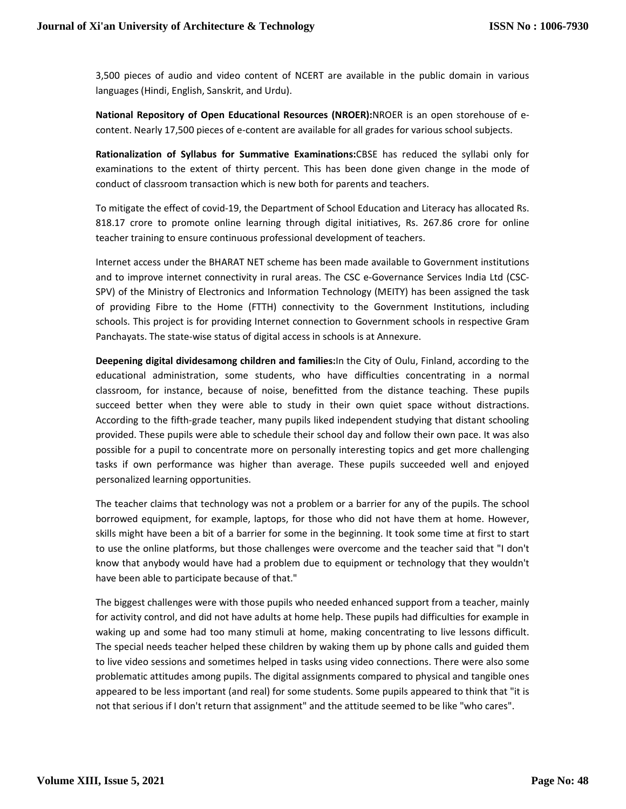3,500 pieces of audio and video content of NCERT are available in the public domain in various languages (Hindi, English, Sanskrit, and Urdu).

**National Repository of Open Educational Resources (NROER):**NROER is an open storehouse of econtent. Nearly 17,500 pieces of e-content are available for all grades for various school subjects.

**Rationalization of Syllabus for Summative Examinations:**CBSE has reduced the syllabi only for examinations to the extent of thirty percent. This has been done given change in the mode of conduct of classroom transaction which is new both for parents and teachers.

To mitigate the effect of covid-19, the Department of School Education and Literacy has allocated Rs. 818.17 crore to promote online learning through digital initiatives, Rs. 267.86 crore for online teacher training to ensure continuous professional development of teachers.

Internet access under the BHARAT NET scheme has been made available to Government institutions and to improve internet connectivity in rural areas. The CSC e-Governance Services India Ltd (CSC-SPV) of the Ministry of Electronics and Information Technology (MEITY) has been assigned the task of providing Fibre to the Home (FTTH) connectivity to the Government Institutions, including schools. This project is for providing Internet connection to Government schools in respective Gram Panchayats. The state-wise status of digital access in schools is at Annexure.

**Deepening digital dividesamong children and families:**In the City of Oulu, Finland, according to the educational administration, some students, who have difficulties concentrating in a normal classroom, for instance, because of noise, benefitted from the distance teaching. These pupils succeed better when they were able to study in their own quiet space without distractions. According to the fifth-grade teacher, many pupils liked independent studying that distant schooling provided. These pupils were able to schedule their school day and follow their own pace. It was also possible for a pupil to concentrate more on personally interesting topics and get more challenging tasks if own performance was higher than average. These pupils succeeded well and enjoyed personalized learning opportunities.

The teacher claims that technology was not a problem or a barrier for any of the pupils. The school borrowed equipment, for example, laptops, for those who did not have them at home. However, skills might have been a bit of a barrier for some in the beginning. It took some time at first to start to use the online platforms, but those challenges were overcome and the teacher said that "I don't know that anybody would have had a problem due to equipment or technology that they wouldn't have been able to participate because of that."

The biggest challenges were with those pupils who needed enhanced support from a teacher, mainly for activity control, and did not have adults at home help. These pupils had difficulties for example in waking up and some had too many stimuli at home, making concentrating to live lessons difficult. The special needs teacher helped these children by waking them up by phone calls and guided them to live video sessions and sometimes helped in tasks using video connections. There were also some problematic attitudes among pupils. The digital assignments compared to physical and tangible ones appeared to be less important (and real) for some students. Some pupils appeared to think that "it is not that serious if I don't return that assignment" and the attitude seemed to be like "who cares".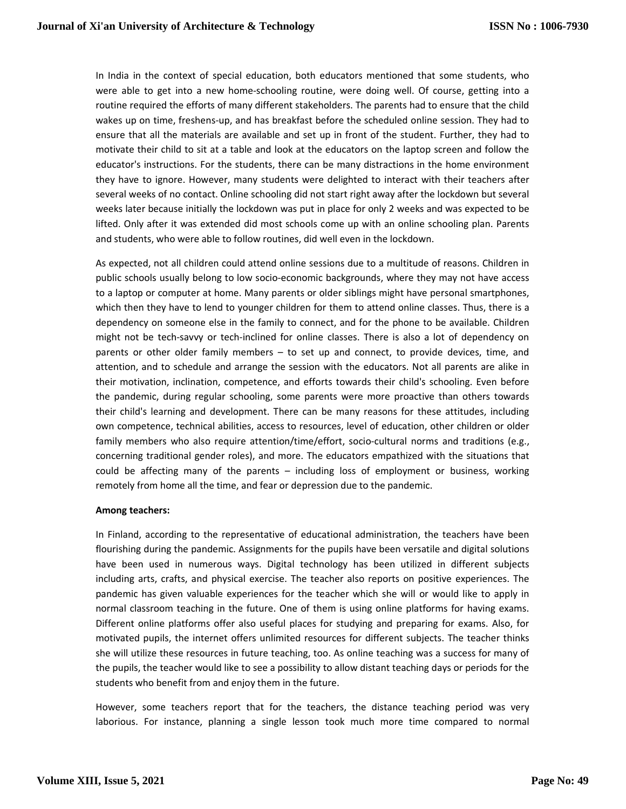In India in the context of special education, both educators mentioned that some students, who were able to get into a new home-schooling routine, were doing well. Of course, getting into a routine required the efforts of many different stakeholders. The parents had to ensure that the child wakes up on time, freshens-up, and has breakfast before the scheduled online session. They had to ensure that all the materials are available and set up in front of the student. Further, they had to motivate their child to sit at a table and look at the educators on the laptop screen and follow the educator's instructions. For the students, there can be many distractions in the home environment they have to ignore. However, many students were delighted to interact with their teachers after several weeks of no contact. Online schooling did not start right away after the lockdown but several weeks later because initially the lockdown was put in place for only 2 weeks and was expected to be lifted. Only after it was extended did most schools come up with an online schooling plan. Parents and students, who were able to follow routines, did well even in the lockdown.

As expected, not all children could attend online sessions due to a multitude of reasons. Children in public schools usually belong to low socio-economic backgrounds, where they may not have access to a laptop or computer at home. Many parents or older siblings might have personal smartphones, which then they have to lend to younger children for them to attend online classes. Thus, there is a dependency on someone else in the family to connect, and for the phone to be available. Children might not be tech-savvy or tech-inclined for online classes. There is also a lot of dependency on parents or other older family members – to set up and connect, to provide devices, time, and attention, and to schedule and arrange the session with the educators. Not all parents are alike in their motivation, inclination, competence, and efforts towards their child's schooling. Even before the pandemic, during regular schooling, some parents were more proactive than others towards their child's learning and development. There can be many reasons for these attitudes, including own competence, technical abilities, access to resources, level of education, other children or older family members who also require attention/time/effort, socio-cultural norms and traditions (e.g., concerning traditional gender roles), and more. The educators empathized with the situations that could be affecting many of the parents – including loss of employment or business, working remotely from home all the time, and fear or depression due to the pandemic.

#### **Among teachers:**

In Finland, according to the representative of educational administration, the teachers have been flourishing during the pandemic. Assignments for the pupils have been versatile and digital solutions have been used in numerous ways. Digital technology has been utilized in different subjects including arts, crafts, and physical exercise. The teacher also reports on positive experiences. The pandemic has given valuable experiences for the teacher which she will or would like to apply in normal classroom teaching in the future. One of them is using online platforms for having exams. Different online platforms offer also useful places for studying and preparing for exams. Also, for motivated pupils, the internet offers unlimited resources for different subjects. The teacher thinks she will utilize these resources in future teaching, too. As online teaching was a success for many of the pupils, the teacher would like to see a possibility to allow distant teaching days or periods for the students who benefit from and enjoy them in the future.

However, some teachers report that for the teachers, the distance teaching period was very laborious. For instance, planning a single lesson took much more time compared to normal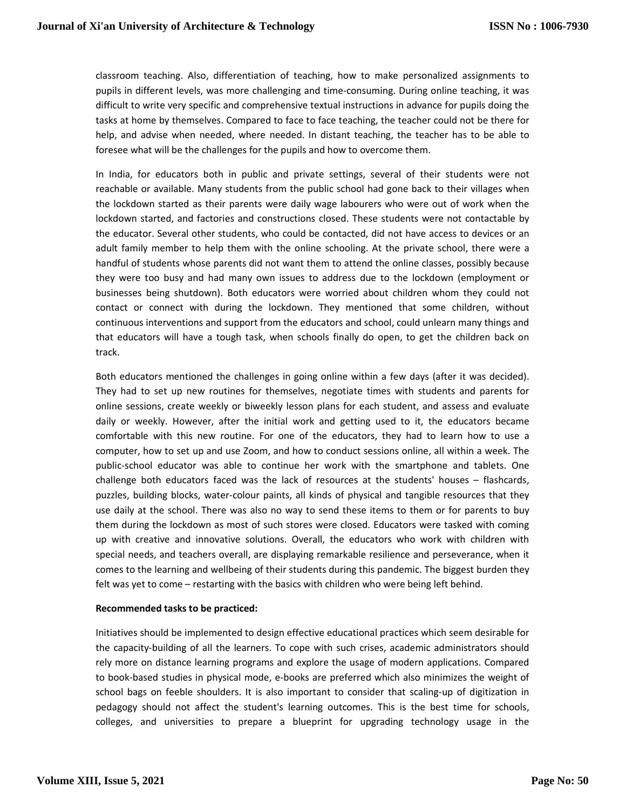classroom teaching. Also, differentiation of teaching, how to make personalized assignments to pupils in different levels, was more challenging and time-consuming. During online teaching, it was difficult to write very specific and comprehensive textual instructions in advance for pupils doing the tasks at home by themselves. Compared to face to face teaching, the teacher could not be there for help, and advise when needed, where needed. In distant teaching, the teacher has to be able to foresee what will be the challenges for the pupils and how to overcome them.

In India, for educators both in public and private settings, several of their students were not reachable or available. Many students from the public school had gone back to their villages when the lockdown started as their parents were daily wage labourers who were out of work when the lockdown started, and factories and constructions closed. These students were not contactable by the educator. Several other students, who could be contacted, did not have access to devices or an adult family member to help them with the online schooling. At the private school, there were a handful of students whose parents did not want them to attend the online classes, possibly because they were too busy and had many own issues to address due to the lockdown (employment or businesses being shutdown). Both educators were worried about children whom they could not contact or connect with during the lockdown. They mentioned that some children, without continuous interventions and support from the educators and school, could unlearn many things and that educators will have a tough task, when schools finally do open, to get the children back on track.

Both educators mentioned the challenges in going online within a few days (after it was decided). They had to set up new routines for themselves, negotiate times with students and parents for online sessions, create weekly or biweekly lesson plans for each student, and assess and evaluate daily or weekly. However, after the initial work and getting used to it, the educators became comfortable with this new routine. For one of the educators, they had to learn how to use a computer, how to set up and use Zoom, and how to conduct sessions online, all within a week. The public-school educator was able to continue her work with the smartphone and tablets. One challenge both educators faced was the lack of resources at the students' houses – flashcards, puzzles, building blocks, water-colour paints, all kinds of physical and tangible resources that they use daily at the school. There was also no way to send these items to them or for parents to buy them during the lockdown as most of such stores were closed. Educators were tasked with coming up with creative and innovative solutions. Overall, the educators who work with children with special needs, and teachers overall, are displaying remarkable resilience and perseverance, when it comes to the learning and wellbeing of their students during this pandemic. The biggest burden they felt was yet to come – restarting with the basics with children who were being left behind.

#### **Recommended tasks to be practiced:**

Initiatives should be implemented to design effective educational practices which seem desirable for the capacity-building of all the learners. To cope with such crises, academic administrators should rely more on distance learning programs and explore the usage of modern applications. Compared to book-based studies in physical mode, e-books are preferred which also minimizes the weight of school bags on feeble shoulders. It is also important to consider that scaling-up of digitization in pedagogy should not affect the student's learning outcomes. This is the best time for schools, colleges, and universities to prepare a blueprint for upgrading technology usage in the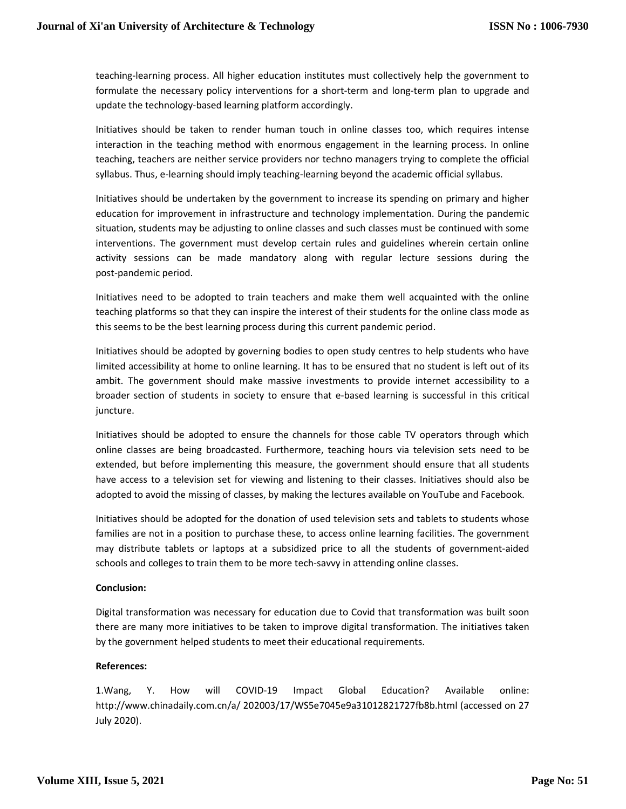teaching-learning process. All higher education institutes must collectively help the government to formulate the necessary policy interventions for a short-term and long-term plan to upgrade and update the technology-based learning platform accordingly.

Initiatives should be taken to render human touch in online classes too, which requires intense interaction in the teaching method with enormous engagement in the learning process. In online teaching, teachers are neither service providers nor techno managers trying to complete the official syllabus. Thus, e-learning should imply teaching-learning beyond the academic official syllabus.

Initiatives should be undertaken by the government to increase its spending on primary and higher education for improvement in infrastructure and technology implementation. During the pandemic situation, students may be adjusting to online classes and such classes must be continued with some interventions. The government must develop certain rules and guidelines wherein certain online activity sessions can be made mandatory along with regular lecture sessions during the post-pandemic period.

Initiatives need to be adopted to train teachers and make them well acquainted with the online teaching platforms so that they can inspire the interest of their students for the online class mode as this seems to be the best learning process during this current pandemic period.

Initiatives should be adopted by governing bodies to open study centres to help students who have limited accessibility at home to online learning. It has to be ensured that no student is left out of its ambit. The government should make massive investments to provide internet accessibility to a broader section of students in society to ensure that e-based learning is successful in this critical juncture.

Initiatives should be adopted to ensure the channels for those cable TV operators through which online classes are being broadcasted. Furthermore, teaching hours via television sets need to be extended, but before implementing this measure, the government should ensure that all students have access to a television set for viewing and listening to their classes. Initiatives should also be adopted to avoid the missing of classes, by making the lectures available on YouTube and Facebook.

Initiatives should be adopted for the donation of used television sets and tablets to students whose families are not in a position to purchase these, to access online learning facilities. The government may distribute tablets or laptops at a subsidized price to all the students of government-aided schools and colleges to train them to be more tech-savvy in attending online classes.

### **Conclusion:**

Digital transformation was necessary for education due to Covid that transformation was built soon there are many more initiatives to be taken to improve digital transformation. The initiatives taken by the government helped students to meet their educational requirements.

### **References:**

1.Wang, Y. How will COVID-19 Impact Global Education? Available online: http://www.chinadaily.com.cn/a/ 202003/17/WS5e7045e9a31012821727fb8b.html (accessed on 27 July 2020).